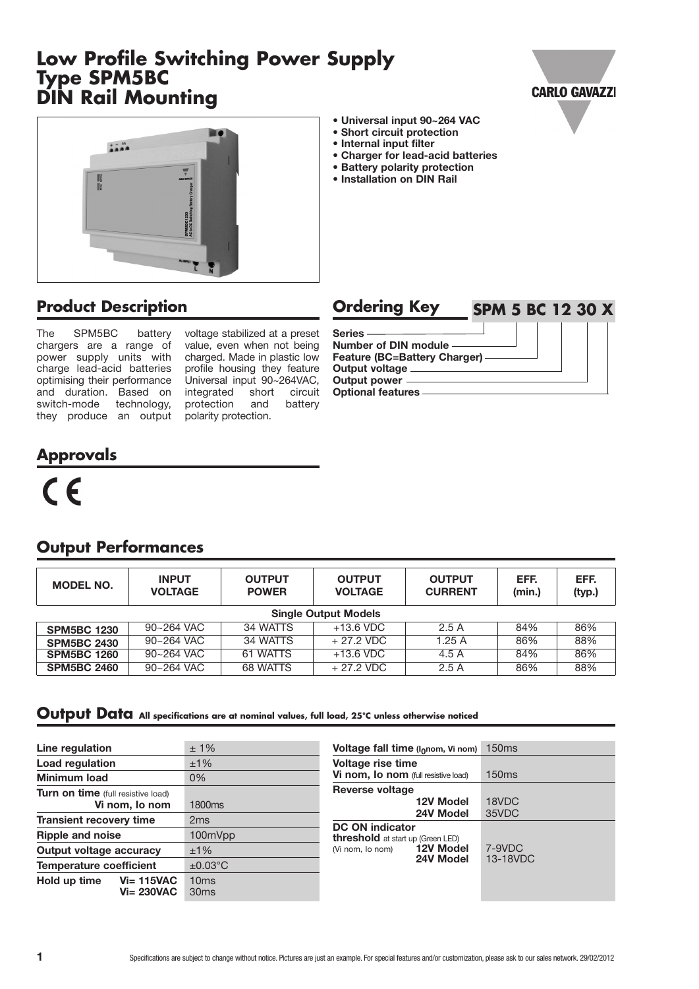# **Low Profile Switching Power Supply Type SPM5BC DIN Rail Mounting**





# **Product Description**

The SPM5BC battery chargers are a range of power supply units with charge lead-acid batteries optimising their performance and duration. Based on switch-mode technology, they produce an output

voltage stabilized at a preset value, even when not being charged. Made in plastic low profile housing they feature Universal input 90~264VAC, integrated short circuit<br>protection and battery protection polarity protection.

| Ordering Key                                     | <b>SPM 5 BC 12 30 X</b> |  |  |  |
|--------------------------------------------------|-------------------------|--|--|--|
| Series -<br>Number of DIN module -               |                         |  |  |  |
| Feature (BC=Battery Charger) —<br>Output voltage |                         |  |  |  |
| Output power<br><b>Optional features</b>         |                         |  |  |  |

**• Universal input 90~264 VAC • Short circuit protection • Internal input filter**

**• Charger for lead-acid batteries • Battery polarity protection • Installation on DIN Rail**

# **Approvals**

# $C<sub>f</sub>$

| <b>MODEL NO.</b>            | <b>INPUT</b><br><b>VOLTAGE</b> | <b>OUTPUT</b><br><b>POWER</b> | <b>OUTPUT</b><br><b>VOLTAGE</b> | <b>OUTPUT</b><br><b>CURRENT</b> | EFF.<br>(min.) | EFF.<br>(typ.) |
|-----------------------------|--------------------------------|-------------------------------|---------------------------------|---------------------------------|----------------|----------------|
| <b>Single Output Models</b> |                                |                               |                                 |                                 |                |                |
| <b>SPM5BC 1230</b>          | 90~264 VAC                     | 34 WATTS                      | $+13.6$ VDC                     | 2.5A                            | 84%            | 86%            |
| <b>SPM5BC 2430</b>          | 90~264 VAC                     | 34 WATTS                      | $+27.2$ VDC                     | 1.25A                           | 86%            | 88%            |
| <b>SPM5BC 1260</b>          | 90~264 VAC                     | 61 WATTS                      | $+13.6$ VDC                     | 4.5 A                           | 84%            | 86%            |
| <b>SPM5BC 2460</b>          | 90~264 VAC                     | 68 WATTS                      | $+27.2$ VDC                     | 2.5A                            | 86%            | 88%            |

### **Output Performances**

#### **Output Data** All specifications are at nominal values, full load, 25°C unless otherwise noticed

| Line regulation                                    | $±1\%$             | Voltage fall time ( $I_0$ nom, Vi nom)   | <b>150ms</b> |
|----------------------------------------------------|--------------------|------------------------------------------|--------------|
| Load regulation                                    | ±1%                | <b>Voltage rise time</b>                 |              |
| Minimum load                                       | 0%                 | Vi nom, Io nom (full resistive load)     | <b>150ms</b> |
| <b>Turn on time</b> (full resistive load)          |                    | <b>Reverse voltage</b>                   |              |
| Vi nom, Io nom                                     | 1800 <sub>ms</sub> | 12V Model                                | 18VDC        |
|                                                    |                    | 24V Model                                | 35VDC        |
| <b>Transient recovery time</b>                     | 2 <sub>ms</sub>    | <b>DC ON indicator</b>                   |              |
| <b>Ripple and noise</b>                            | 100mVpp            | <b>threshold</b> at start up (Green LED) |              |
| Output voltage accuracy                            | $±1\%$             | <b>12V Model</b><br>(Vi nom, lo nom)     | 7-9VDC       |
| <b>Temperature coefficient</b>                     | $\pm 0.03$ °C      | 24V Model                                | 13-18VDC     |
| $Vi = 115VAC$<br>Hold up time<br><b>Vi= 230VAC</b> | 10ms<br>30ms       |                                          |              |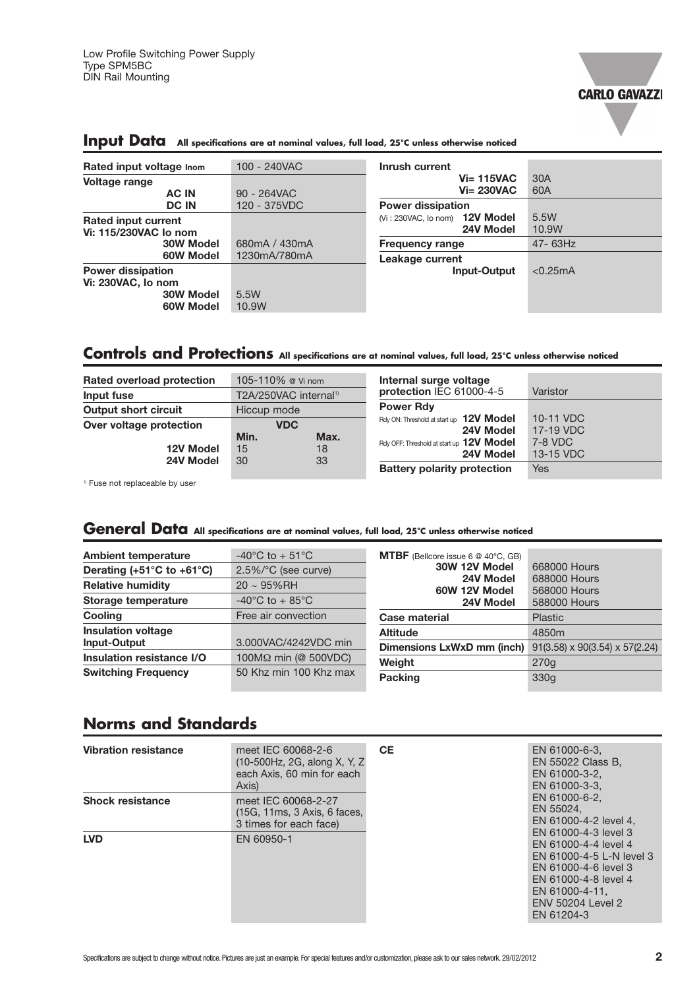

| Rated input voltage Inom                       | 100 - 240VAC  | Inrush current                  |              |
|------------------------------------------------|---------------|---------------------------------|--------------|
| Voltage range                                  |               | $Vi=115VAC$                     | 30A          |
| <b>AC IN</b>                                   | 90 - 264VAC   | $Vi = 230VAC$                   | 60A          |
| <b>DC IN</b>                                   | 120 - 375VDC  | <b>Power dissipation</b>        |              |
| Rated input current                            |               | $(Ni:230VAC, 10 nom)$ 12V Model | 5.5W         |
| Vi: 115/230VAC lo nom                          |               | 24V Model                       | 10.9W        |
| 30W Model                                      | 680mA / 430mA | <b>Frequency range</b>          | $47 - 63$ Hz |
| 60W Model                                      | 1230mA/780mA  | Leakage current                 |              |
| <b>Power dissipation</b><br>Vi: 230VAC, lo nom |               | <b>Input-Output</b>             | < 0.25mA     |
| 30W Model<br>60W Model                         | 5.5W<br>10.9W |                                 |              |

# **Input Data** All specifications are at nominal values, full load, 25°C unless otherwise noticed

# Controls and Protections All specifications are at nominal values, full load, 25°C unless otherwise noticed

| Rated overload protection   | 105-110% @ Vi nom                 | Internal surge voltage                                |                                   |
|-----------------------------|-----------------------------------|-------------------------------------------------------|-----------------------------------|
| Input fuse                  | T2A/250VAC internal <sup>1)</sup> | protection IEC 61000-4-5                              | Varistor                          |
| <b>Output short circuit</b> | Hiccup mode                       | <b>Power Rdy</b>                                      |                                   |
| Over voltage protection     | <b>VDC</b><br>Min.<br>Max.        | Rdy ON: Threshold at start up 12V Model<br>24V Model  | 10-11 VDC<br>17-19 VDC<br>7-8 VDC |
| 12V Model<br>24V Model      | 18<br>15<br>33<br>30              | Rdy OFF: Threshold at start up 12V Model<br>24V Model | 13-15 VDC                         |
|                             |                                   | <b>Battery polarity protection</b>                    | Yes                               |

<sup>1)</sup> Fuse not replaceable by user

## General Data All specifications are at nominal values, full load, 25°C unless otherwise noticed

| <b>Ambient temperature</b>                      | $-40^{\circ}$ C to $+51^{\circ}$ C | <b>MTBF</b> (Bellcore issue 6 $@$ 40 $°C$ , GB) |                                            |
|-------------------------------------------------|------------------------------------|-------------------------------------------------|--------------------------------------------|
| Derating (+51 $^{\circ}$ C to +61 $^{\circ}$ C) | 2.5%/°C (see curve)                | 30W 12V Model                                   | 668000 Hours                               |
| <b>Relative humidity</b>                        | $20 \sim 95\%$ RH                  | 24V Model<br>60W 12V Model                      | 688000 Hours<br>568000 Hours               |
| Storage temperature                             | $-40^{\circ}$ C to $+85^{\circ}$ C | 24V Model                                       | 588000 Hours                               |
| <b>Cooling</b>                                  | Free air convection                | <b>Case material</b>                            | Plastic                                    |
| <b>Insulation voltage</b>                       |                                    | <b>Altitude</b>                                 | 4850m                                      |
| Input-Output                                    | 3.000VAC/4242VDC min               | Dimensions LxWxD mm (inch)                      | $91(3.58) \times 90(3.54) \times 57(2.24)$ |
| Insulation resistance I/O                       | 100MΩ min (@ 500VDC)               | Weight                                          | 270q                                       |
| <b>Switching Frequency</b>                      | 50 Khz min 100 Khz max             | Packing                                         | 330 <sub>g</sub>                           |

# **Norms and Standards**

| <b>Vibration resistance</b> | meet IEC 60068-2-6<br>(10-500Hz, 2G, along X, Y, Z)<br>each Axis, 60 min for each<br>Axis) | <b>CE</b> | EN 61000-6-3,<br>EN 55022 Class B,<br>EN 61000-3-2.<br>EN 61000-3-3.                                                                                                          |
|-----------------------------|--------------------------------------------------------------------------------------------|-----------|-------------------------------------------------------------------------------------------------------------------------------------------------------------------------------|
| <b>Shock resistance</b>     | meet IEC 60068-2-27<br>(15G, 11ms, 3 Axis, 6 faces,<br>3 times for each face)              |           | EN 61000-6-2,<br>EN 55024.<br>EN 61000-4-2 level 4,                                                                                                                           |
| <b>LVD</b>                  | EN 60950-1                                                                                 |           | EN 61000-4-3 level 3<br>EN 61000-4-4 level 4<br>EN 61000-4-5 L-N level 3<br>EN 61000-4-6 level 3<br>EN 61000-4-8 level 4<br>EN 61000-4-11.<br>FNV 50204 Level 2<br>EN 61204-3 |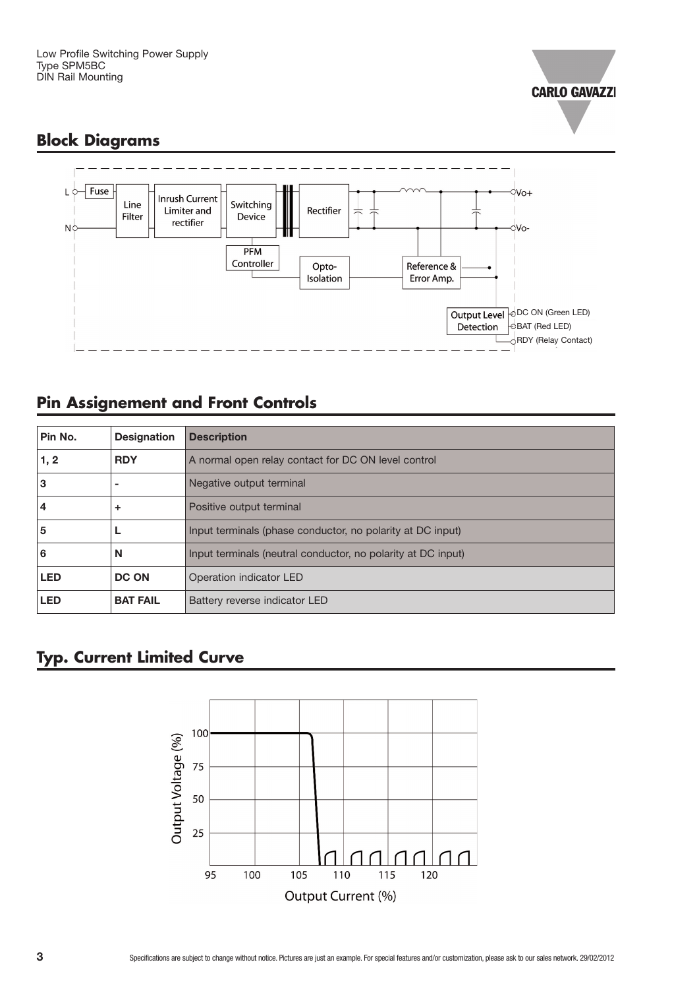

# **Block Diagrams**



# **Pin Assignement and Front Controls**

| Pin No.    | <b>Designation</b> | <b>Description</b>                                           |
|------------|--------------------|--------------------------------------------------------------|
| 1, 2       | <b>RDY</b>         | A normal open relay contact for DC ON level control          |
| 3          | ۰                  | Negative output terminal                                     |
| 4          | ÷                  | Positive output terminal                                     |
| 5          |                    | Input terminals (phase conductor, no polarity at DC input)   |
| 6          | N                  | Input terminals (neutral conductor, no polarity at DC input) |
| <b>LED</b> | <b>DC ON</b>       | Operation indicator LED                                      |
| <b>LED</b> | <b>BAT FAIL</b>    | Battery reverse indicator LED                                |

# **Typ. Current Limited Curve**